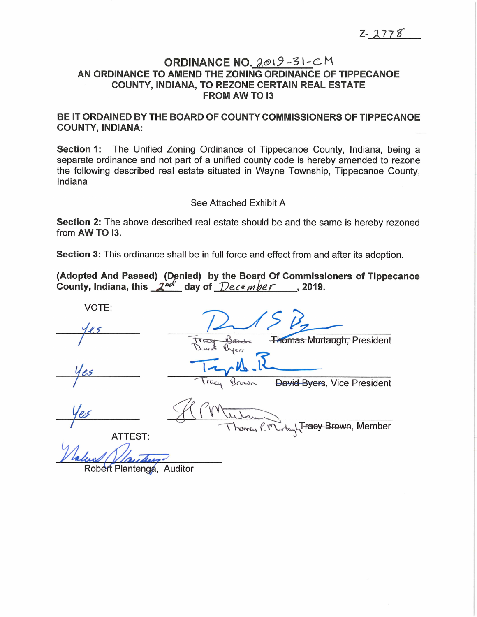# **ORDINANCE NO.** 2019-31-CM Z-277<br>ORDINANCE NO. 2019-31-CM<br>AN ORDINANCE TO AMEND THE ZONING ORDINANCE OF TIPPECANOE Z<br>ORDINANCE NO. <u>2019-31-</u>C M<br>INANCE TO AMEND THE ZONING ORDINANCE OF TIPPE<br>COUNTY, INDIANA, TO REZONE CERTAIN REAL ESTATE **NCE NO. 20<br>THE ZONING OF<br>TO REZONE CEF<br>FROM AW TO 13** AN ORDINANCE TO AMEND THE ZONING ORDINANCE OF TIPPECANOE<br>COUNTY, INDIANA, TO REZONE CERTAIN REAL ESTATE<br>FROM AW TO I3<br>BE IT ORDAINED BY THE BOARD OF COUNTY COMMISSIONERS OF TIPPECANOE

BE IT ORDAINED BY THE BOARD OF COUNTY COMMISSIONERS OF TIPPECANOE COUNTY, INDIANA: BE IT ORDAINED BY THE BOARD OF COUNTY COMMISSIONERS OF TIPPECANOE<br>COUNTY, INDIANA:<br>Section 1: The Unified Zoning Ordinance of Tippecanoe County, Indiana, being a

**COUNTY, INDIANA:**<br>**Section 1:** The Unified Zoning Ordinance of Tippecanoe County, Indiana, being a<br>separate ordinance and not part of a unified county code is hereby amended to rezone Section 1: The Unified Zoning Ordinance of Tippecanoe County, Indiana, being a<br>separate ordinance and not part of a unified county code is hereby amended to rezone<br>the following described real estate situated in Wayne Town separate ordinance and not part of a unified county code is hereby amended to rezone the following described real estate situated in Wayne Township, Tippecanoe County, Indiana Separate standards and not pair of a dimited spanny of<br>the following described real estate situated in Wayne<br>Indiana<br>See Attached Exhibit A<br>Section 2: The above-described real estate should be<br>from AW TO I3.

See Attached Exhibit A<br>Section 2: The above-described real estate should be and the same is hereby rezoned See Attached Exhibit A<br>Section 2: The above-described real estate should be and the same is hereby rezofrom AW TO I3.<br>Section 3: This ordinance shall be in full force and effect from and after its adoption.

from AW TO I3.<br>Section 3: This ordinance shall be in full force and effect from and after its adoption.<br>(Adopted And Passed) (Denied) by the Board Of Commissioners of Tippecanoe Section 3: This ordinance shall be in full force and effect from an<br>(Adopted And Passed) (Denied) by the Board Of Commiss<br>County, Indiana, this \_2nd\_day of \_*December* \_\_\_, 2019

VOTE: pted And Passed) (Denied) by the Board Of Commissioners<br>ity, Indiana, this  $2^{nd}$  day of  $December$ , 2019.<br>VOTE:<br> $4e5$ **Thomas Murtaugh**, President Tracy Bre David VOTE.<br>1es Traguera<br>1es Try 1s. yes<br>Tray Brown Thomas Murtaugh, President<br>Yes<br>Tray Brown David Byers, Vice President Ves<br>
Ves<br>
Ves<br>
Ves<br>
Ves<br>
Ves<br>
Ves<br>
Ver Hora Brown, David Byers, Vice President<br>
Thomas C. Murkey Fraey-Brown, Member<br>
ATTEST: ATTEST:<br>And *Clantenga*, Auditor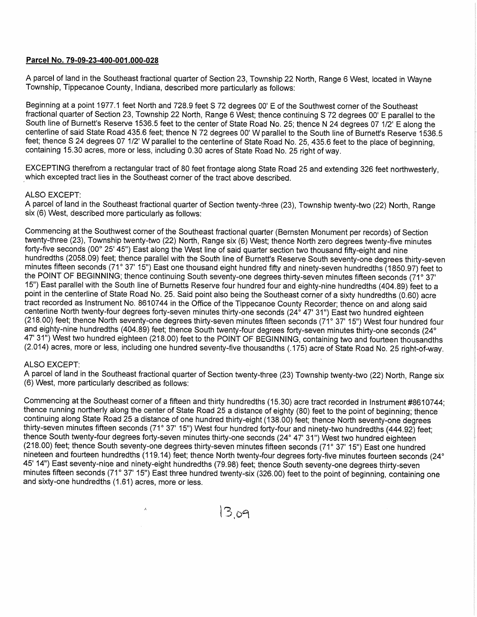## Parcel No. 79-09-23-400-001.000-028

2)<br>A parcel of land in the Southeast fractional quarter of Section 23, Township 22 North, Range 6 West, located in Wayne<br>A parcel of land in the Southeast fractional quarter of Section 23, Township 22 North, Range 6 West, <u>Parcel No. 79-09-23-400-001.000-028</u><br>A parcel of land in the Southeast fractional quarter of Section 23, Township 22<br>Township, Tippecanoe County, Indiana, described more particularly as follows A parcel of land in the Southeast fractional quarter of Section 23, Township 22 North, Range 6 West, located in Wa<br>Township, Tippecanoe County, Indiana, described more particularly as follows:<br>Beginning at a point 1977.1 f

Fownship, Tippecanoe County, Indiana, described more particularly as follows:<br>Beginning at a point 1977.1 feet North and 728.9 feet S 72 degrees 00' E of the Southwest corner of the Southeast<br>fractional quarter of Section A parcel of land in the Southeast fractional quarter of Section 23, Township 22 North, Range 6 West, located in Wayne<br>Township, Tippecanoe County, Indiana, described more particularly as follows:<br>Beginning at a point 1977. Township, Tippecanoe County, Indiana, described more particularly as follows:<br>Beginning at a point 1977.1 feet North and 728.9 feet S 72 degrees 00' E of the Southwest corner of the Southeast<br>fractional quarter of Section South line of Burnett's Reserve 1536.5 feet to the center of State Road No. 25; thence N 24<br>centerline of said State Road 435.6 feet; thence N 72 degrees 00' W parallel to the South lin<br>feet; thence S 24 degrees 07 1/2' W South line of Burnett's Reserve 1536.5 feet to the center of State Road No. 25; thence N 24 degrees 07 1/2' E along the centerline of said State Road 435.6 feet; thence N 72 degrees 00' W parallel to the South line of Burn

containing 15.30 acres, more or less, including 0.30 acres of State Road No. 25 right of way.<br>EXCEPTING therefrom a rectangular tract of 80 feet frontage along State Road 25 and extending 326 feet northwesterly, which exce

A parcel of land in the Southeast fractional quarter of Section twenty-three (23), Township twenty-two (22) North, Range six (6) West, described more particularly as follows:

Commencing at the Southwest corner of the Southeast fractional quarter (Bernsten Monument per records) of Section forty-five seconds (00° 25' 45") East along the West line of said quarter section two thousand fifty-eight and nine<br>hundredths (2058.09) feet; thence parallel with the South line of Burnett's Reserve South seventy-one degr twenty-three (23), Township twenty-two (22) North, Range six (6) West; thence North zero degrees twenty-five minutes<br>forty-five seconds (00° 25' 45") East along the West line of said quarter section two thousand fifty-eigh minutes fifteen seconds (71° 37' 15") East one thousand eight hundred fifty and ninety-seven hundredths (1850.97) feet<br>the POINT OF BEGINNING; thence continuing South seventy-one degrees thirty-seven minutes fifteen second the POINT OF BEGINNING; thence continuing South seventy-one degrees thirty-seven minutes fifteen seconds (71° 37'<br>15") East parallel with the South line of Burnetts Reserve four hundred four and eighty-nine hundredths (404 tract recorded as Instrument No. 8610744 in the Office of the Tippecanoe County Recorder; thence on and along said<br>centerline North twenty-four degrees forty-seven minutes thirty-one seconds (24° 47' 31") East two hundred (218.00) feet; th<br>and eighty-nine<br>47' 31") West tw<br>(2.014) acres, n<br>ALSO EXCEPT 47' 31") West two hundred eighteen (218.00) feet to the POINT OF BEGINNING, containing two and fourteen thousandths (2.014) acres, more or less, including one hundred seventy-five thousandths (.175) acre of State Road No.

A parcel of land in the Southeast fractional quarter of Section twenty-three (23) Township twenty-two (22) North, Range six<br>(6) West, more particularly described as follows:<br>Commencing at the Southeast corner of a fifteen

(6) West, more particularly described as follows:<br>Commencing at the Southeast corner of a fifteen and thirty hundredths (15.30) acre tract recorded in Instrument #861074<br>thence running northerly along the center of State continuing along State Road 25 a distance of one hundred thirty-eight (138.00) feet; thence North seventy-one degrees<br>thirty-seven minutes fifteen seconds (71° 37' 15") West four hundred forty-four and ninety-two hundredth

 $13,09$